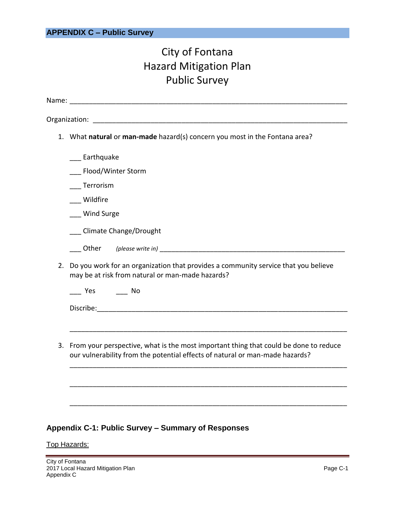# City of Fontana Hazard Mitigation Plan Public Survey

|    | 1. What natural or man-made hazard(s) concern you most in the Fontana area?                                                                                          |
|----|----------------------------------------------------------------------------------------------------------------------------------------------------------------------|
|    | __ Earthquake                                                                                                                                                        |
|    | Flood/Winter Storm                                                                                                                                                   |
|    | Terrorism                                                                                                                                                            |
|    | Wildfire                                                                                                                                                             |
|    | Wind Surge                                                                                                                                                           |
|    | Climate Change/Drought                                                                                                                                               |
|    |                                                                                                                                                                      |
| 2. | Do you work for an organization that provides a community service that you believe<br>may be at risk from natural or man-made hazards?                               |
|    | Yes No                                                                                                                                                               |
|    |                                                                                                                                                                      |
|    |                                                                                                                                                                      |
| 3. | From your perspective, what is the most important thing that could be done to reduce<br>our vulnerability from the potential effects of natural or man-made hazards? |
|    |                                                                                                                                                                      |
|    |                                                                                                                                                                      |

## **Appendix C-1: Public Survey – Summary of Responses**

## Top Hazards: